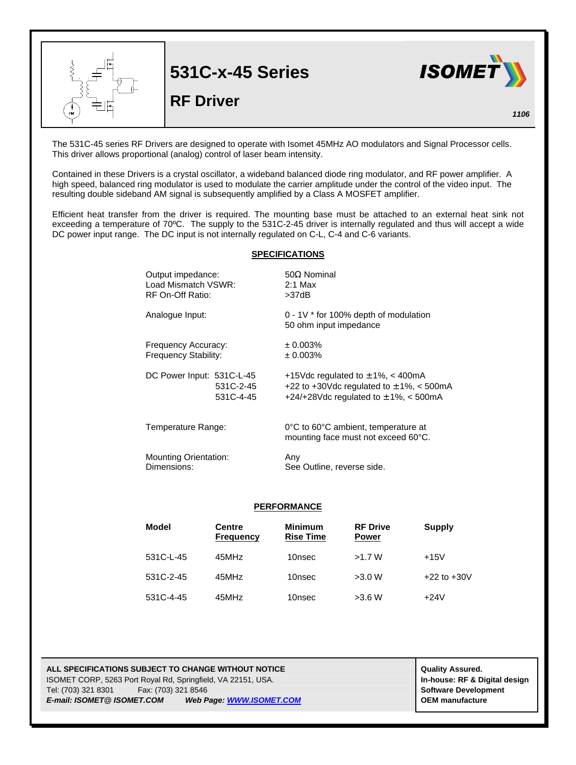|           | <b>531C-x-45 Series</b><br><b>RF Driver</b> | <b>ISOMET</b> |
|-----------|---------------------------------------------|---------------|
| <b>FM</b> |                                             | 1106          |

The 531C-45 series RF Drivers are designed to operate with Isomet 45MHz AO modulators and Signal Processor cells. This driver allows proportional (analog) control of laser beam intensity.

Contained in these Drivers is a crystal oscillator, a wideband balanced diode ring modulator, and RF power amplifier. A high speed, balanced ring modulator is used to modulate the carrier amplitude under the control of the video input. The resulting double sideband AM signal is subsequently amplified by a Class A MOSFET amplifier.

Efficient heat transfer from the driver is required. The mounting base must be attached to an external heat sink not exceeding a temperature of 70°C. The supply to the 531C-2-45 driver is internally regulated and thus will accept a wide DC power input range. The DC input is not internally regulated on C-L, C-4 and C-6 variants.

## **SPECIFICATIONS**

| Output impedance:         | $50\Omega$ Nominal                                                         |  |  |
|---------------------------|----------------------------------------------------------------------------|--|--|
| Load Mismatch VSWR:       | $2:1$ Max                                                                  |  |  |
| RF On-Off Ratio:          | >37dB                                                                      |  |  |
| Analogue Input:           | $0 - 1V$ * for 100% depth of modulation<br>50 ohm input impedance          |  |  |
| Frequency Accuracy:       | $\pm 0.003\%$                                                              |  |  |
| Frequency Stability:      | ± 0.003%                                                                   |  |  |
| DC Power Input: 531C-L-45 | +15Vdc regulated to $\pm$ 1%, < 400mA                                      |  |  |
| 531C-2-45                 | +22 to +30Vdc regulated to $\pm$ 1%, < 500mA                               |  |  |
| 531C-4-45                 | +24/+28Vdc regulated to $\pm$ 1%, < 500mA                                  |  |  |
| Temperature Range:        | 0°C to 60°C ambient, temperature at<br>mounting face must not exceed 60°C. |  |  |

Mounting Orientation: Any

Dimensions: See Outline, reverse side.

## **PERFORMANCE**

| <b>Model</b>    | <b>Centre</b><br><b>Frequency</b> | <b>Minimum</b><br><b>Rise Time</b> | <b>RF</b> Drive<br><b>Power</b> | <b>Supply</b>   |
|-----------------|-----------------------------------|------------------------------------|---------------------------------|-----------------|
| 531C-L-45       | 45MHz                             | 10nsec                             | >1.7 W                          | $+15V$          |
| 531C-2-45       | 45MHz                             | 10nsec                             | >3.0 W                          | $+22$ to $+30V$ |
| $531C - 4 - 45$ | 45MHz                             | 10nsec                             | >3.6 W                          | $+24V$          |

**ALL SPECIFICATIONS SUBJECT TO CHANGE WITHOUT NOTICE ALL SPECIFICATIONS SUBJECT TO CHANGE WITHOUT NOTICE** ISOMET CORP, 5263 Port Royal Rd, Springfield, VA 22151, USA. **In-house: RF & Digital design** Tel: (703) 321 8301 Fax: (703) 321 8546 **Software Development** *E-mail: ISOMET@ ISOMET.COM Web Page: WWW.ISOMET.COM* **OEM manufacture**